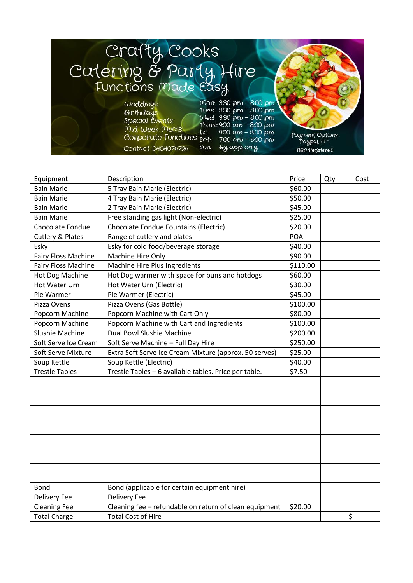

| Equipment                  | Description                                            | Price      | Qty | Cost |
|----------------------------|--------------------------------------------------------|------------|-----|------|
| <b>Bain Marie</b>          | 5 Tray Bain Marie (Electric)                           | \$60.00    |     |      |
| <b>Bain Marie</b>          | 4 Tray Bain Marie (Electric)                           | \$50.00    |     |      |
| <b>Bain Marie</b>          | 2 Tray Bain Marie (Electric)                           | \$45.00    |     |      |
| <b>Bain Marie</b>          | Free standing gas light (Non-electric)                 | \$25.00    |     |      |
| Chocolate Fondue           | Chocolate Fondue Fountains (Electric)                  | \$20.00    |     |      |
| Cutlery & Plates           | Range of cutlery and plates                            | <b>POA</b> |     |      |
| Esky                       | Esky for cold food/beverage storage                    | \$40.00    |     |      |
| <b>Fairy Floss Machine</b> | Machine Hire Only                                      | \$90.00    |     |      |
| Fairy Floss Machine        | Machine Hire Plus Ingredients                          | \$110.00   |     |      |
| Hot Dog Machine            | Hot Dog warmer with space for buns and hotdogs         | \$60.00    |     |      |
| Hot Water Urn              | Hot Water Urn (Electric)                               | \$30.00    |     |      |
| Pie Warmer                 | Pie Warmer (Electric)                                  | \$45.00    |     |      |
| Pizza Ovens                | Pizza Ovens (Gas Bottle)                               | \$100.00   |     |      |
| Popcorn Machine            | Popcorn Machine with Cart Only                         | \$80.00    |     |      |
| Popcorn Machine            | Popcorn Machine with Cart and Ingredients              | \$100.00   |     |      |
| Slushie Machine            | Dual Bowl Slushie Machine                              | \$200.00   |     |      |
| Soft Serve Ice Cream       | Soft Serve Machine - Full Day Hire                     | \$250.00   |     |      |
| <b>Soft Serve Mixture</b>  | Extra Soft Serve Ice Cream Mixture (approx. 50 serves) | \$25.00    |     |      |
| Soup Kettle                | Soup Kettle (Electric)                                 | \$40.00    |     |      |
| <b>Trestle Tables</b>      | Trestle Tables - 6 available tables. Price per table.  | \$7.50     |     |      |
|                            |                                                        |            |     |      |
|                            |                                                        |            |     |      |
|                            |                                                        |            |     |      |
|                            |                                                        |            |     |      |
|                            |                                                        |            |     |      |
|                            |                                                        |            |     |      |
|                            |                                                        |            |     |      |
|                            |                                                        |            |     |      |
|                            |                                                        |            |     |      |
|                            |                                                        |            |     |      |
|                            |                                                        |            |     |      |
| Bond                       | Bond (applicable for certain equipment hire)           |            |     |      |
| <b>Delivery Fee</b>        | <b>Delivery Fee</b>                                    |            |     |      |
| <b>Cleaning Fee</b>        | Cleaning fee - refundable on return of clean equipment | \$20.00    |     |      |
| <b>Total Charge</b>        | <b>Total Cost of Hire</b>                              |            |     | \$   |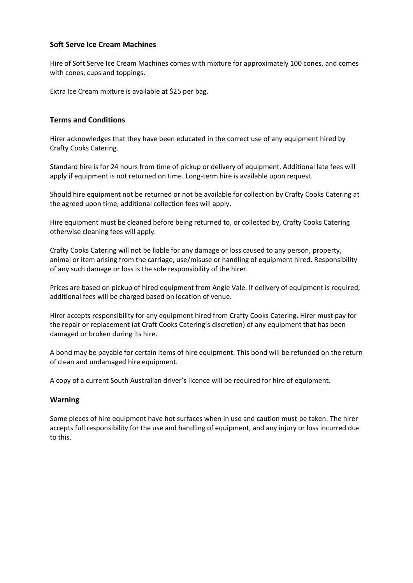## **Soft Serve Ice Cream Machines**

Hire of Soft Serve Ice Cream Machines comes with mixture for approximately 100 cones, and comes with cones, cups and toppings.

Extra Ice Cream mixture is available at \$25 per bag.

## **Terms and Conditions**

Hirer acknowledges that they have been educated in the correct use of any equipment hired by Crafty Cooks Catering.

Standard hire is for 24 hours from time of pickup or delivery of equipment. Additional late fees will apply if equipment is not returned on time. Long-term hire is available upon request.

Should hire equipment not be returned or not be available for collection by Crafty Cooks Catering at the agreed upon time, additional collection fees will apply.

Hire equipment must be cleaned before being returned to, or collected by, Crafty Cooks Catering otherwise cleaning fees will apply.

Crafty Cooks Catering will not be liable for any damage or loss caused to any person, property, animal or item arising from the carriage, use/misuse or handling of equipment hired. Responsibility of any such damage or loss is the sole responsibility of the hirer.

Prices are based on pickup of hired equipment from Angle Vale. If delivery of equipment is required, additional fees will be charged based on location of venue.

Hirer accepts responsibility for any equipment hired from Crafty Cooks Catering. Hirer must pay for the repair or replacement (at Craft Cooks Catering's discretion) of any equipment that has been damaged or broken during its hire.

A bond may be payable for certain items of hire equipment. This bond will be refunded on the return of clean and undamaged hire equipment.

A copy of a current South Australian driver's licence will be required for hire of equipment.

## **Warning**

Some pieces of hire equipment have hot surfaces when in use and caution must be taken. The hirer accepts full responsibility for the use and handling of equipment, and any injury or loss incurred due to this.